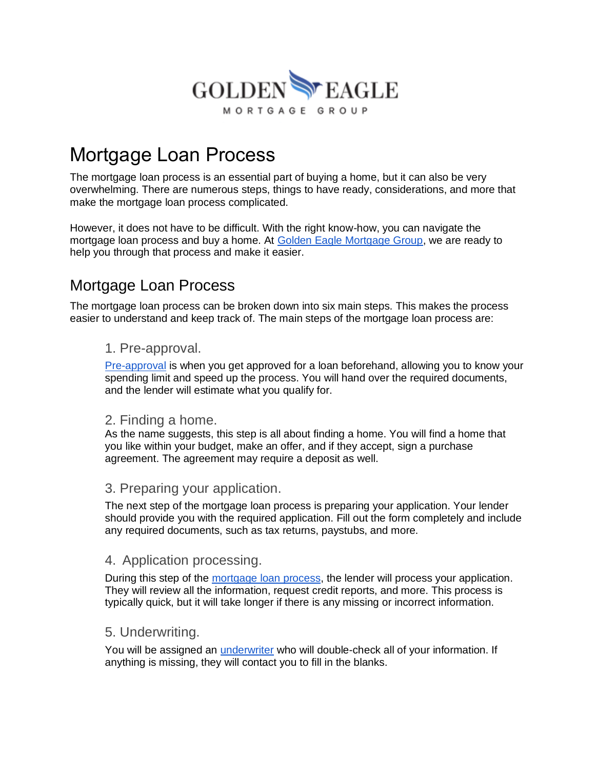

# Mortgage Loan Process

The mortgage loan process is an essential part of buying a home, but it can also be very overwhelming. There are numerous steps, things to have ready, considerations, and more that make the mortgage loan process complicated.

However, it does not have to be difficult. With the right know-how, you can navigate the mortgage loan process and buy a home. At [Golden Eagle Mortgage Group,](https://goldeneaglemortgagegroup.com/) we are ready to help you through that process and make it easier.

## Mortgage Loan Process

The mortgage loan process can be broken down into six main steps. This makes the process easier to understand and keep track of. The main steps of the mortgage loan process are:

#### 1. Pre-approval.

[Pre-approval](https://www.investopedia.com/mortgage-preapproval-4776405) is when you get approved for a loan beforehand, allowing you to know your spending limit and speed up the process. You will hand over the required documents, and the lender will estimate what you qualify for.

#### 2. Finding a home.

As the name suggests, this step is all about finding a home. You will find a home that you like within your budget, make an offer, and if they accept, sign a purchase agreement. The agreement may require a deposit as well.

#### 3. Preparing your application.

The next step of the mortgage loan process is preparing your application. Your lender should provide you with the required application. Fill out the form completely and include any required documents, such as tax returns, paystubs, and more.

#### 4. Application processing.

During this step of the [mortgage loan process,](https://goldeneaglemortgagegroup.com/purchase/) the lender will process your application. They will review all the information, request credit reports, and more. This process is typically quick, but it will take longer if there is any missing or incorrect information.

#### 5. Underwriting.

You will be assigned an [underwriter](https://smartasset.com/insurance/underwriter) who will double-check all of your information. If anything is missing, they will contact you to fill in the blanks.